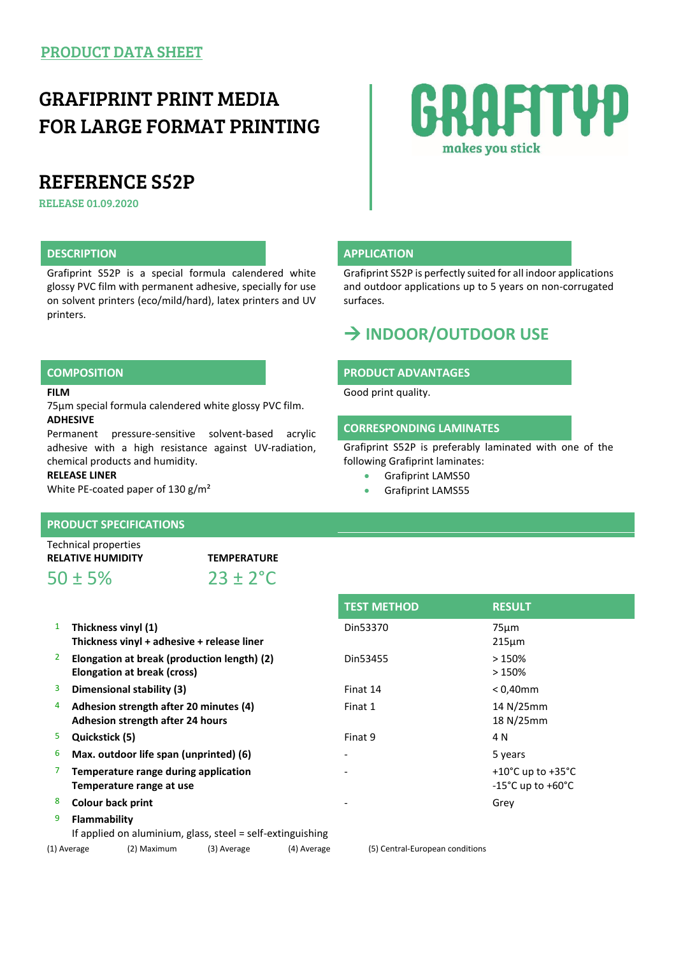## GRAFIPRINT PRINT MEDIA FOR LARGE FORMAT PRINTING

## REFERENCE S52P

RELEASE 01.09.2020

Grafiprint S52P is a special formula calendered white glossy PVC film with permanent adhesive, specially for use on solvent printers (eco/mild/hard), latex printers and UV printers.

### **FILM**

75µm special formula calendered white glossy PVC film. **ADHESIVE**

Permanent pressure-sensitive solvent-based acrylic adhesive with a high resistance against UV-radiation, chemical products and humidity.

#### **RELEASE LINER**

White PE-coated paper of 130 g/m²

### **PRODUCT SPECIFICATIONS**

Technical properties **RELATIVE HUMIDITY TEMPERATURE**

 $50 \pm 5\%$  23 ± 2°C

| 1              | Thickness vinyl (1)<br>Thickness vinyl + adhesive + release liner          | Din53370 | 75 <sub>µ</sub> m<br>215 <sub>µ</sub>        |
|----------------|----------------------------------------------------------------------------|----------|----------------------------------------------|
| $\overline{2}$ | Elongation at break (production length) (2)<br>Elongation at break (cross) | Din53455 | $>150\%$<br>>150%                            |
| 3              | Dimensional stability (3)                                                  | Finat 14 | $< 0.40$ mm                                  |
| 4              | Adhesion strength after 20 minutes (4)<br>Adhesion strength after 24 hours | Finat 1  | 14 N/25m<br>18 N/25m                         |
| 5              | Quickstick (5)                                                             | Finat 9  | 4 N                                          |
| 6              | Max. outdoor life span (unprinted) (6)                                     |          | 5 years                                      |
| $\overline{7}$ | Temperature range during application<br>Temperature range at use           |          | $+10^{\circ}$ C up t<br>$-15^{\circ}$ C up t |
| 8              | <b>Colour back print</b>                                                   |          | Grey                                         |
| 9              | Flammability<br>If applied on aluminium, glass, steel = self-extinguishing |          |                                              |

| <b>TEST METHOD</b> | <b>RESULT</b>                           |
|--------------------|-----------------------------------------|
| Din53370           | $75 \mu m$                              |
|                    | $215 \mu m$                             |
| Din53455           | >150%                                   |
|                    | >150%                                   |
| Finat 14           | $< 0.40$ mm                             |
| Finat 1            | 14 N/25mm                               |
|                    | 18 N/25mm                               |
| Finat 9            | 4 N                                     |
|                    | 5 years                                 |
|                    | +10 $^{\circ}$ C up to +35 $^{\circ}$ C |
|                    | $-15^{\circ}$ C up to $+60^{\circ}$ C   |
|                    | Grey                                    |
|                    |                                         |

# makes you stick

#### **DESCRIPTION APPLICATION**

Grafiprint S52P is perfectly suited for all indoor applications and outdoor applications up to 5 years on non-corrugated surfaces.

RAFITYD

## **INDOOR/OUTDOOR USE**

#### **COMPOSITION PRODUCT ADVANTAGES**

Good print quality.

### **CORRESPONDING LAMINATES**

Grafiprint S52P is preferably laminated with one of the following Grafiprint laminates:

- **Grafiprint LAMS50**
- Grafiprint LAMS55

(1) Average (2) Maximum (3) Average (4) Average (5) Central-European conditions